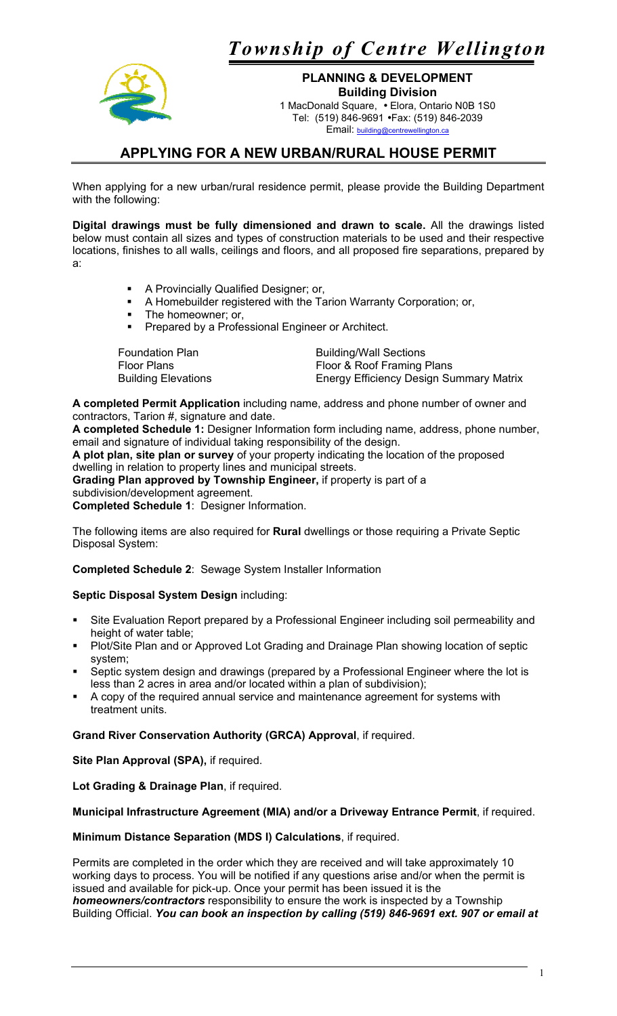*Township of Centre Wellington* 



**PLANNING & DEVELOPMENT Building Division**  1 MacDonald Square, • Elora, Ontario N0B 1S0 Tel: (519) 846-9691 •Fax: (519) 846-2039 Email: building

## **APPLYING FOR A NEW URBAN/RURAL HOUSE PERMIT**

When applying for a new urban/rural residence permit, please provide the Building Department with the following:

**Digital drawings must be fully dimensioned and drawn to scale.** All the drawings listed below must contain all sizes and types of construction materials to be used and their respective locations, finishes to all walls, ceilings and floors, and all proposed fire separations, prepared by a:

- A Provincially Qualified Designer; or,
- A Homebuilder registered with the Tarion Warranty Corporation; or,
- The homeowner; or,
- **Prepared by a Professional Engineer or Architect.**

| <b>Foundation Plan</b>     | <b>Building/Wall Sections</b>                  |
|----------------------------|------------------------------------------------|
| Floor Plans                | Floor & Roof Framing Plans                     |
| <b>Building Elevations</b> | <b>Energy Efficiency Design Summary Matrix</b> |

**A completed Permit Application** including name, address and phone number of owner and contractors, Tarion #, signature and date.

**A completed Schedule 1:** Designer Information form including name, address, phone number, email and signature of individual taking responsibility of the design.

**A plot plan, site plan or survey** of your property indicating the location of the proposed dwelling in relation to property lines and municipal streets.

**Grading Plan approved by Township Engineer,** if property is part of a subdivision/development agreement.

**Completed Schedule 1**: Designer Information.

The following items are also required for **Rural** dwellings or those requiring a Private Septic Disposal System:

**Completed Schedule 2**: Sewage System Installer Information

## **Septic Disposal System Design** including:

- Site Evaluation Report prepared by a Professional Engineer including soil permeability and height of water table;
- Plot/Site Plan and or Approved Lot Grading and Drainage Plan showing location of septic system;
- Septic system design and drawings (prepared by a Professional Engineer where the lot is less than 2 acres in area and/or located within a plan of subdivision);
- A copy of the required annual service and maintenance agreement for systems with treatment units.

**Grand River Conservation Authority (GRCA) Approval**, if required.

**Site Plan Approval (SPA),** if required.

**Lot Grading & Drainage Plan**, if required.

## **Municipal Infrastructure Agreement (MIA) and/or a Driveway Entrance Permit**, if required.

**Minimum Distance Separation (MDS I) Calculations**, if required.

Permits are completed in the order which they are received and will take approximately 10 working days to process. You will be notified if any questions arise and/or when the permit is issued and available for pick-up. Once your permit has been issued it is the *homeowners/contractors* responsibility to ensure the work is inspected by a Township Building Official. *You can book an inspection by calling (519) 846-9691 ext. 907 or email at*